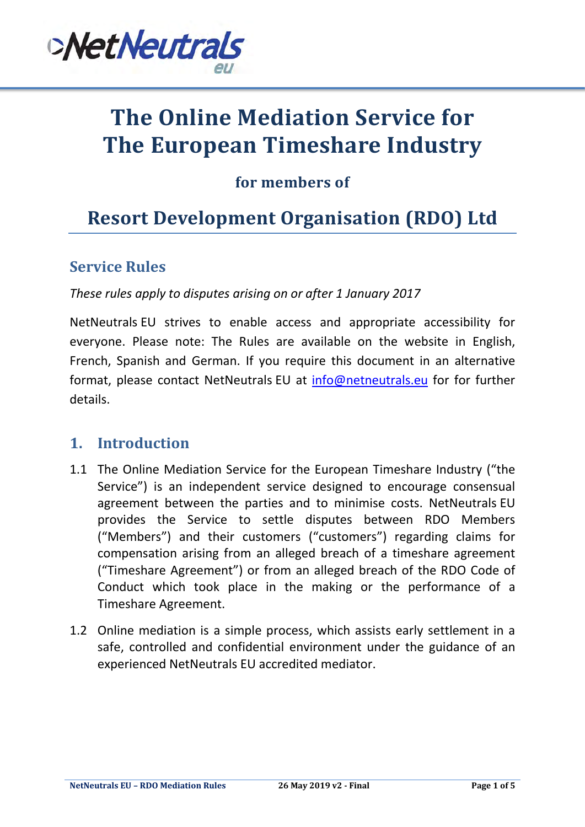

# **The Online Mediation Service for The European Timeshare Industry**

# **for members of**

# **Resort Development Organisation (RDO) Ltd**

#### **Service Rules**

*These rules apply to disputes arising on or after 1 January 2017*

NetNeutrals EU strives to enable access and appropriate accessibility for everyone. Please note: The Rules are available on the website in English, French, Spanish and German. If you require this document in an alternative format, please contact NetNeutrals EU at [info@netneutrals.eu](mailto:info@netneutrals.eu) for for further details.

#### **1. Introduction**

- 1.1 The Online Mediation Service for the European Timeshare Industry ("the Service") is an independent service designed to encourage consensual agreement between the parties and to minimise costs. NetNeutrals EU provides the Service to settle disputes between RDO Members ("Members") and their customers ("customers") regarding claims for compensation arising from an alleged breach of a timeshare agreement ("Timeshare Agreement") or from an alleged breach of the RDO Code of Conduct which took place in the making or the performance of a Timeshare Agreement.
- 1.2 Online mediation is a simple process, which assists early settlement in a safe, controlled and confidential environment under the guidance of an experienced NetNeutrals EU accredited mediator.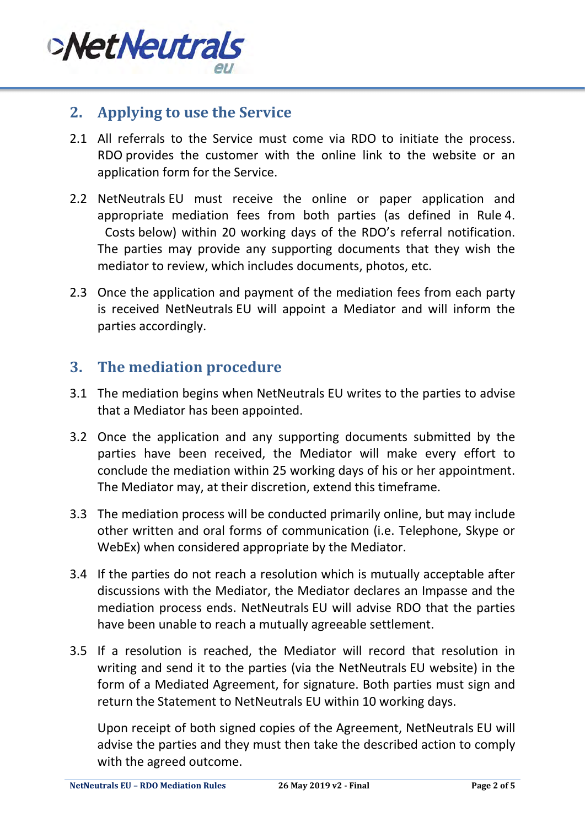

#### **2. Applying to use the Service**

- 2.1 All referrals to the Service must come via RDO to initiate the process. RDO provides the customer with the online link to the website or an application form for the Service.
- 2.2 NetNeutrals EU must receive the online or paper application and appropriate mediation fees from both parties (as defined in Rule [4.](#page-2-0) [Costs](#page-2-0) below) within 20 working days of the RDO's referral notification. The parties may provide any supporting documents that they wish the mediator to review, which includes documents, photos, etc.
- 2.3 Once the application and payment of the mediation fees from each party is received NetNeutrals EU will appoint a Mediator and will inform the parties accordingly.

#### **3. The mediation procedure**

- 3.1 The mediation begins when NetNeutrals EU writes to the parties to advise that a Mediator has been appointed.
- 3.2 Once the application and any supporting documents submitted by the parties have been received, the Mediator will make every effort to conclude the mediation within 25 working days of his or her appointment. The Mediator may, at their discretion, extend this timeframe.
- 3.3 The mediation process will be conducted primarily online, but may include other written and oral forms of communication (i.e. Telephone, Skype or WebEx) when considered appropriate by the Mediator.
- 3.4 If the parties do not reach a resolution which is mutually acceptable after discussions with the Mediator, the Mediator declares an Impasse and the mediation process ends. NetNeutrals EU will advise RDO that the parties have been unable to reach a mutually agreeable settlement.
- 3.5 If a resolution is reached, the Mediator will record that resolution in writing and send it to the parties (via the NetNeutrals EU website) in the form of a Mediated Agreement, for signature. Both parties must sign and return the Statement to NetNeutrals EU within 10 working days.

Upon receipt of both signed copies of the Agreement, NetNeutrals EU will advise the parties and they must then take the described action to comply with the agreed outcome.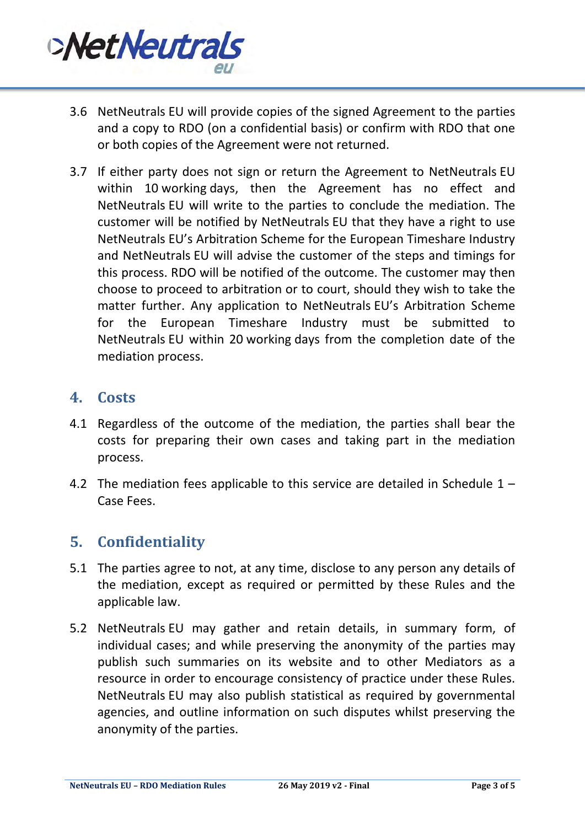

- 3.6 NetNeutrals EU will provide copies of the signed Agreement to the parties and a copy to RDO (on a confidential basis) or confirm with RDO that one or both copies of the Agreement were not returned.
- 3.7 If either party does not sign or return the Agreement to NetNeutrals EU within 10 working days, then the Agreement has no effect and NetNeutrals EU will write to the parties to conclude the mediation. The customer will be notified by NetNeutrals EU that they have a right to use NetNeutrals EU's Arbitration Scheme for the European Timeshare Industry and NetNeutrals EU will advise the customer of the steps and timings for this process. RDO will be notified of the outcome. The customer may then choose to proceed to arbitration or to court, should they wish to take the matter further. Any application to NetNeutrals EU's Arbitration Scheme for the European Timeshare Industry must be submitted to NetNeutrals EU within 20 working days from the completion date of the mediation process.

#### <span id="page-2-0"></span>**4. Costs**

- 4.1 Regardless of the outcome of the mediation, the parties shall bear the costs for preparing their own cases and taking part in the mediation process.
- 4.2 The mediation fees applicable to this service are detailed in Schedule  $1 -$ [Case Fees.](#page-4-0)

### **5. Confidentiality**

- 5.1 The parties agree to not, at any time, disclose to any person any details of the mediation, except as required or permitted by these Rules and the applicable law.
- 5.2 NetNeutrals EU may gather and retain details, in summary form, of individual cases; and while preserving the anonymity of the parties may publish such summaries on its website and to other Mediators as a resource in order to encourage consistency of practice under these Rules. NetNeutrals EU may also publish statistical as required by governmental agencies, and outline information on such disputes whilst preserving the anonymity of the parties.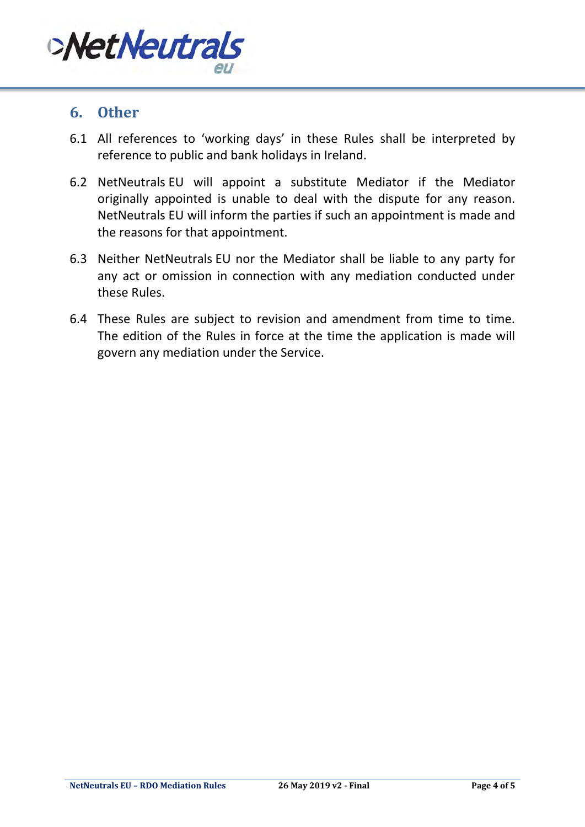

#### **6. Other**

- 6.1 All references to 'working days' in these Rules shall be interpreted by reference to public and bank holidays in Ireland.
- 6.2 NetNeutrals EU will appoint a substitute Mediator if the Mediator originally appointed is unable to deal with the dispute for any reason. NetNeutrals EU will inform the parties if such an appointment is made and the reasons for that appointment.
- 6.3 Neither NetNeutrals EU nor the Mediator shall be liable to any party for any act or omission in connection with any mediation conducted under these Rules.
- 6.4 These Rules are subject to revision and amendment from time to time. The edition of the Rules in force at the time the application is made will govern any mediation under the Service.